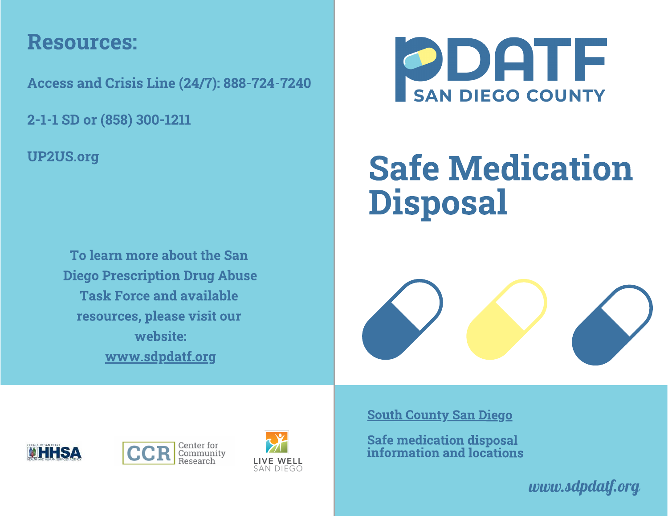### Resources:

Access and Crisis Line (24/7): 888-724-7240

2-1-1 SD or (858) 300-1211

UP2US.org

To learn more about the San Diego Prescription Drug Abuse **Task Force and available** resources, please visit our website: website: www.communication.com www.sdpdatf.org



## **Safe Medication**  $S_1$  ,  $S_2$  and  $S_3$  are  $S_4$  and  $S_5$  are  $S_6$  and  $S_7$  are  $S_7$  and  $S_8$  are  $S_7$  and  $S_8$  are  $S_7$  and  $S_8$  are  $S_7$  and  $S_8$  are  $S_7$  and  $S_8$  are  $S_7$  are  $S_7$  and  $S_8$  are  $S_7$  are  $S_7$  are  $S_$ Disposal







South County San Diego

Safe medication disposal information and locations

*www.sdpdatf.org*